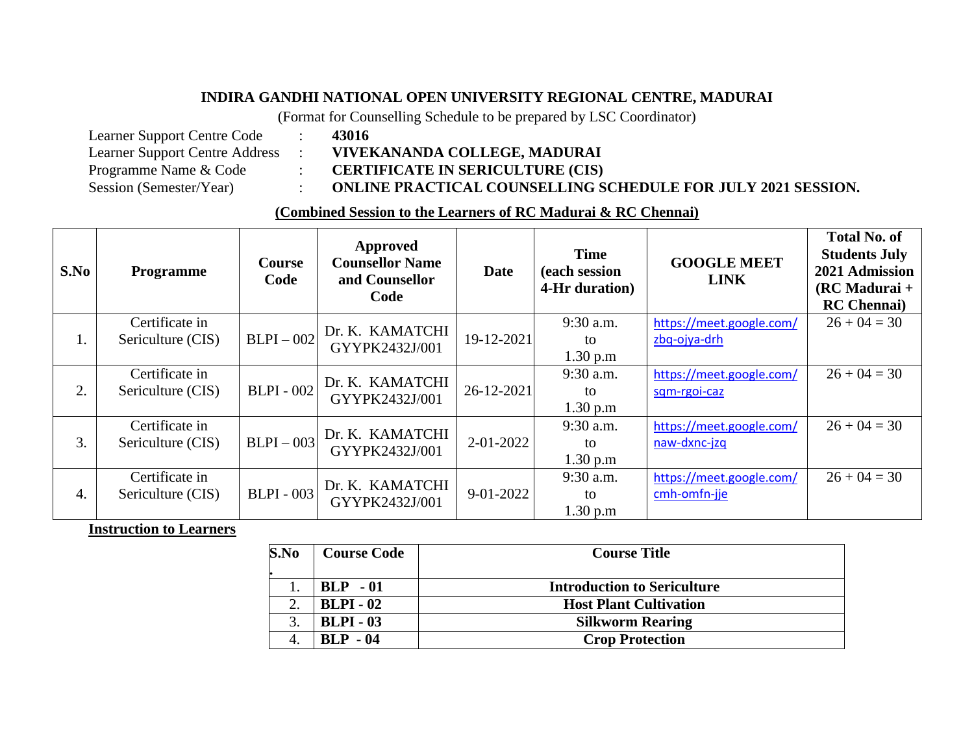## **INDIRA GANDHI NATIONAL OPEN UNIVERSITY REGIONAL CENTRE, MADURAI**

(Format for Counselling Schedule to be prepared by LSC Coordinator)

Learner Support Centre Code : **43016** Learner Support Centre Address : **VIVEKANANDA COLLEGE, MADURAI**<br>Programme Name & Code : **CERTIFICATE IN SERICULTURE (CIS)** 

Programme Name & Code : **CERTIFICATE IN SERICULTURE (CIS)**

Session (Semester/Year) : **ONLINE PRACTICAL COUNSELLING SCHEDULE FOR JULY 2021 SESSION.**

## **(Combined Session to the Learners of RC Madurai & RC Chennai)**

| S.No | <b>Programme</b>                    | <b>Course</b><br>Code | Approved<br><b>Counsellor Name</b><br>and Counsellor<br>Code | <b>Date</b>     | <b>Time</b><br>(each session<br>4-Hr duration) | <b>GOOGLE MEET</b><br><b>LINK</b> | <b>Total No. of</b><br><b>Students July</b><br>2021 Admission<br>$(RCMadurai +$<br><b>RC</b> Chennai |
|------|-------------------------------------|-----------------------|--------------------------------------------------------------|-----------------|------------------------------------------------|-----------------------------------|------------------------------------------------------------------------------------------------------|
| 1.   | Certificate in                      | $BLPI - 002$          | Dr. K. KAMATCHI<br>GYYPK2432J/001                            | 19-12-2021      | 9:30 a.m.                                      | https://meet.google.com/          | $26 + 04 = 30$                                                                                       |
|      | Sericulture (CIS)                   |                       |                                                              |                 | to                                             | zbq-ojya-drh                      |                                                                                                      |
|      |                                     |                       |                                                              |                 | 1.30 p.m                                       |                                   |                                                                                                      |
| 2.   | Certificate in<br>Sericulture (CIS) | <b>BLPI</b> - 002     | Dr. K. KAMATCHI<br>GYYPK2432J/001                            | 26-12-2021      | 9:30 a.m.                                      | https://meet.google.com/          | $26 + 04 = 30$                                                                                       |
|      |                                     |                       |                                                              |                 | to                                             | sqm-rgoi-caz                      |                                                                                                      |
|      |                                     |                       |                                                              |                 | 1.30 p.m                                       |                                   |                                                                                                      |
| 3.   | Certificate in<br>Sericulture (CIS) | $BLPI - 003$          | Dr. K. KAMATCHI<br>GYYPK2432J/001                            | $2 - 01 - 2022$ | 9:30 a.m.                                      | https://meet.google.com/          | $26 + 04 = 30$                                                                                       |
|      |                                     |                       |                                                              |                 | to                                             | naw-dxnc-jzq                      |                                                                                                      |
|      |                                     |                       |                                                              |                 | 1.30 p.m                                       |                                   |                                                                                                      |
| 4.   | Certificate in<br>Sericulture (CIS) | <b>BLPI</b> - 003     | Dr. K. KAMATCHI<br>GYYPK2432J/001                            | 9-01-2022       | 9:30 a.m.                                      | https://meet.google.com/          | $26 + 04 = 30$                                                                                       |
|      |                                     |                       |                                                              |                 | to                                             | cmh-omfn-jje                      |                                                                                                      |
|      |                                     |                       |                                                              |                 | 1.30 p.m                                       |                                   |                                                                                                      |

**Instruction to Learners**

| S.No | <b>Course Code</b> | <b>Course Title</b>                |  |  |
|------|--------------------|------------------------------------|--|--|
|      |                    |                                    |  |  |
|      | $BLP - 01$         | <b>Introduction to Sericulture</b> |  |  |
|      | <b>BLPI</b> - 02   | <b>Host Plant Cultivation</b>      |  |  |
|      | <b>BLPI-03</b>     | <b>Silkworm Rearing</b>            |  |  |
|      | $BLP - 04$         | <b>Crop Protection</b>             |  |  |